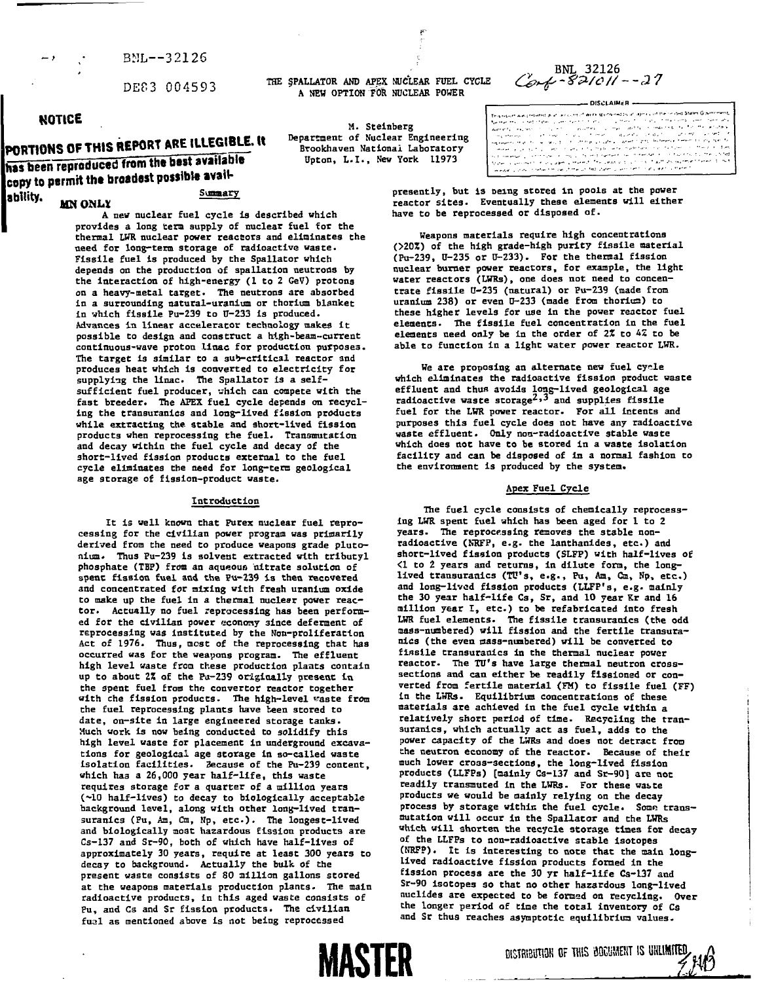BNL--32126

DEP3 004593

**THE §PALLATOR AND APEX NUCLEAR FUEL CYCLE A SEW OPTION FDR NUCLEAR POWER**



# **NOTICE**

# **PORTIONS OF THIS REPORT ARE ILLEGIBLE. It** has been reproduced from the bast available **copy to permit the broadest possible availability.**

#### **MNOHLX**

Summary

**A new nuclear fuel cycle Is described which provides a long term supply of nuclear fuel for the thermal LWR nuclear power reactors and eliminates the need for long-term storage of radioactive waste. Fissile fuel is produced by the Spallator which depends on the production of spallation neutrons by the interaction of high-energy (1 to 2 GeV) protons on a heavy-metal target. The neutrons are absorbed in a surrounding natural-uranium or thorium blanket in which fissile Pu-239 to 0-233 is produced. Advances In linear accelerator technology makes it possible to design and construct a high-beam-current continuous-wave proton linac for production putpose3. The target is similar to a sub-critical reactor and produces heat which Is converted to electricity for supplying the linac. The Spallator is a self**sufficient fuel producer, which can compete with the **fast breeder. The APEX fuel cycle depends on recycling the transuranlcs and long-lived fission products while extracting the stable and short-lived fission products when reprocessing the fuel. Transmutation and decay within the fuel cycle and decay of the short-lived fission products external to the fuel cycle eliminates the need for long-term geological age storage of fission-product waste.**

#### **Introduction**

**It is well known that Purex nuclear fuel reprocessing for the civilian power program was primarily derived from the need to produce weapons grade plutonium. Thus Pu-239 is solvent extracted with tributyl phosphate (TBP) from an aqueous nitrate solution of spenc fission fuel and the Pu-239 is then recovered and concentrated for mixing with fresh uranium oxide to make up the fuel in a thermal nuclear power reactor. Actually no fuel reprocessing has been performed for the civilian power economy 3ince deferment of reprocessing was instituted by the Non-proliferation Act of 1976. Thus, most of the reprocessing that has occurred was for the weapons program. The effluent high level waste from these production plants contain up to about 23! of the Pu-239 originally present in the spent fuel from the convertor reactor together with che fission products. The high-level waste from the fuel reprocessing plants have been stored to date, on-site in large engineered storage tanks. Much work is now being conducted to solidify this high level waste for placement in underground excavations for geological age storage in so-called waste isolation facilities. Because of the Pu-239 content, which** *ha.3* **a 26,000 year half-life , this waste requires storage for a quarter of a million yeara (-10 half-lives) to decay to biologically acceptable background level, along with other long-lived tran**suranics (Pu, Am, Cm, Np, etc.). The longest-lived **and biologically aoat hazardous fission products are Cs-137 and Sr-90, both of which have half-lives of approximately 30 years, require at least 300 years to decay to background. Actually the bulk of che present waste consists of 80 million gallons stored at che weapons materials production plants. The main radioactive products, in this aged waste consists of Pu, and Cs and Sr fission products. The civilian fual as mentioned above is not being reprocessed**

**M. Steinberg Department of Nuclear Engineering Brookhaven National Laboratory Upton, L.I., New York 11973**

www.commanwided.States.Grain This report was prepared as an account of work This report was prepared ;<br>Aponse the context of the<br>Warranty construction منزی است.<br>منزل است المرور نداری با با بار<br>مالان با بار برائد المستويد جرو کی ہے میکنڈا<br>کہانی موضوع وہ in look ook.<br>Veelal kom فحفاء فرطان خالدان فياد manger () in contract in the secret experiment in the secret state of the secret state of the secret state of<br>In the secret state of the secret product in the secret state of the secret state of the secret state of the s<br>I **Service Convert** 

- DISCLAIMER

**presently, but is oemg stored In pools at the power reactor sites. Eventually these elements will either have to be reprocessed or disposed of.**

**Weapons materials require high concentrations (>20Z) of the high grade-high purity fissil e material (Pu-239, U-235 or U-233). For the thermal fission nuclear burner power reactors, for example, the light water reactors (LWRs), one does not need to concen**trate fissile U-235 (natural) or Pu-239 (made from **uranium 238) or even U-233 (made from thorium) to these higher levels for use in the power reactor fuel elements.** The fissile fuel concentration in the fuel **elements need only be in the order of** *2Z* **to 4% to be able to function in a light water power reactor LHR.**

**We are proposing an alternate new fuel cycle which eliminates the radioactive fission product waste effluent and thus avoids long-lived geological age radioactive waste storage<sup>2</sup> »^ an(j supplies fissil e fuel for the LWR power reactor. For all intents and purposes this fuel cycle does not have any radioactive waste effluent. Only non-radioactive stable waste which does not have to be stored in a waste isolation facility and can be disposed of in a normal fashion to the environment is produced by the system.**

#### **Apex Fuel Cycle**

**The fuel cycle consists of chemically reprocessing LWR spent fuel which has been aged for 1 to 2 years. The reprocessing removes the stable nonradioactive (NRFP, e.g. the lanthanldes, etc.) and short-lived fission products (SLFP) with half-lives of <1 to 2 years and returns, in dilute form, the longlived transuranics (TU's, e.g., Pu, Am, Cm, Np, etc.) and long-lived fission products (LLFP's, e.g. mainly the 30 year half-life Cs, Sr, and 10 year Kr and 16 million year I, etc.) to be refabricated into fresh** LWR fuel elements. The fissile transuranics (the odd **mass-numbered) will fission and the fertile transuranics (the even mass-nuabered) will be converted to fissil e transuranics in the thermal nuclear power reactor. The TU's have large thermal neutron crosssections and can either be readily fissioned or converted from fertile material (FM) to fissile fuel (FF) In the LWRs. Equilibrium concentrations of these materials are achieved in the fuel cycle within a relatively short period of time. Recycling the transuranics, which actually act as fuel, adds to the power capacity of the LWRs and does not detract from the neutron economy of the reactor. Because of their ouch lower cross-sections, the long-lived fission products (LLFPs) [mainly Cs-137 and Sr-90] are not readily transmuted in the LWRs. For these waste products we would be nainly relying on the decay** process by storage within the fuel cycle. Some trans**mutation will occur in the Spallacor and the LWRs which will shorten the recycle storage times for decay of the LLFPs to non-radioactive stable isotopes (NRFP). It is interesting to note that the main longlived radioactive fission products formed in the fission process are the 30 yr half-lif e Cs-137 and Sr-90 isotopes so that no other hazardous long-lived nuclides are expected to be formed on recycling. Over the longer period of time the total inventory of Cs and Sr thus reaches asymptotic equilibrium values.**

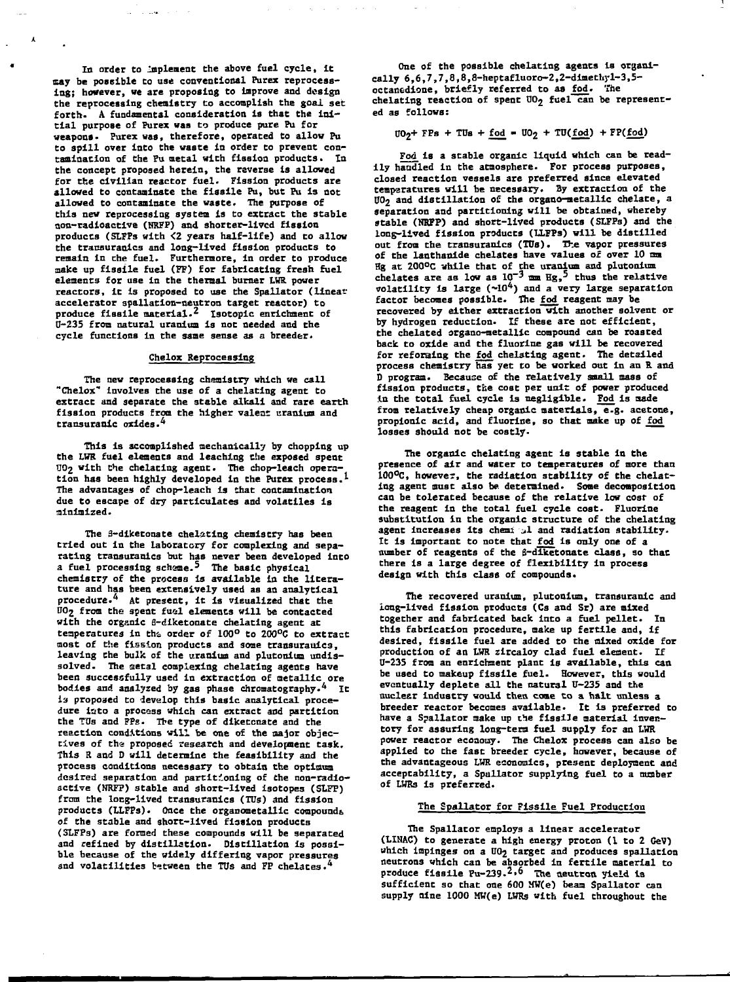**In order to implement the above fuel cycle, it say be possible to use conventional Purex reprocessing; however, we are proposing to Improve and design the reprocessing chemistry to accomplish the goal set forth. A fundamental consideration is that the initial purpose of Purex was to produce pure Pu for weapons- Purex was, therefore, operated to allow Pu to spill over into the waste in order to prevent contamination of the Pu metal with fission products. In the concept proposed herein, the reverse is allowed for the civilian reactor fuel. Fission products are allowed to contaminate the fissile Pu, but Pu is not allowed to contaminate the waste. The purpose of this new reprocessing system is to extract the stable non-radioactive (NRFP) and shorter-lived fission products (SLFPs with <2 years half-life) and to allow the transuranics and long-lived fission products to remain in che fuel. Furthermore, in order to produce make up fissile fuel (FF) for fabricating fresh fuel elements for use in the thermal burner LWB. power reactors, it Is proposed to use the Spallator (linear accelerator apallation-neutron target reactor) to produce fissile material.<sup>2</sup> Isotopic enrichment of 0-235 from natural uranium is not needed and the cycle functions in the same sense as a breeder.**

 $\mathbf{r}$ 

April 1970 and

**Contractor** 

#### **Chelox Reprocessing**

**The new reprocessing chemistry which we call "Chelox" involves the use of a chelating agent to extract and separate the stable alkali and rare earth fission products from the higher valent uranium and cransuranic oxides.<sup>4</sup>**

**This is accomplished mechanically by chopping up the LWR fuel elements and leaching the exposed spent OO2 with Che chelating agent. The chop-leach operation has been highly developed in the Purex process.<sup>1</sup> The advantages of chop-leach is that contamination due to escape of dry particulates and volatiles is minimized.**

**The 3-diketonate chelating chemistry has been tried out in the laboratory for complexlng and separating transuranics but has never been developed into a fuel processing scheme.<sup>5</sup> The basic physical** chemistry of the process is available in the litera**ture and has been extensively used as an analytical procedure.<sup>4</sup> At present, it is visualized that the DOj from the spent fuel elements will be contacted with the organic S-diketonate chelating agent at** temperatures in the order of 100° to 200°C to extract **most of the fission products and some transuranics, leaving the bulk of the uranium and plutonlum undisaolved. The aetal complexlng chelating agents have been successfully used in extraction of metallic ore bodies and analyzed by gas phase chromatography.<sup>4</sup> It is proposed to develop this basic analytical procedure into a process which can extract and partition the TOs and FPa. The type of diketonate and the reaction conditions will be one of the major objectives of tha proposed research and development task. This R and D will determine the feasibility and the process conditions necessary to obtain che optimum desired separation and partitioning of Che non-radioactive (NRF?) stable and short-lived isotopes (SLFP) from the long-lived transuranics (TUs) and fission products (LLFPs). Once the organometallic compounds, of the stable and short-lived fission products (SLFPs) are formed these compounds will be separated and refined by distillation. Distillation is possible because of the widely differing vapor pressures and volatilities between che TUs and FP chelates.<sup>4</sup>**

**One of the possible chelating agents is organically 6,6,7,7,8,8,8-heptafluoro-2,2-dimethyl-3,5 octanedione, briefly referred to as fod. The** chelating reaction of spent UO<sub>2</sub> fuel can be represent**ed as follows:**

### $U0<sub>2</sub> + FPs + TUs + fod = U0<sub>2</sub> + TU(fod) + FP(fod)$

**Fod is a stable organic liquid which can be readily handled in the atmosphere. For process purposes, closed reaction vessels are preferred since elevated temperatures will be necessary. By extraction of the U02 and distillation of the organo-aetallic chelate, a separation and partitioning will be obtained, whereby stable (NRFP) and short-lived products (SLFPs) and the long-lived fission products (LLFPs) will be distilled out from the transuranics (TUs). The vapor pressures of the lanthanide chelates have values of over 10 ma Hg at 200°C while that of che uranium and plutonium** chelates are as low as  $10^{-3}$  mm Hg,<sup>5</sup> thus the relative **volatility is Large (~10<sup>4</sup>) and a very large separation factor becomes possible. The fod reagent may be recovered by either extraction with another solvent or by hydrogen reduction. If these are not efficient, the chelated organo-metallic compound can be roasted back to oxide and the fluorine gas will be recovered for reforaing the fod chelating agent. The detailed process chemistry has yet to be worked out in an B. and D program. Because of the relatively small mass of fission products, the cost per unit of power produced in the total fuel cycle is negligible. Fod is made from relatively cheap organic materials, e.g. acetone, propionic acid, and fluorine, so that make up of fod losses should not be costly.**

**The organic chelating agent is stable in the presence of air and water to temperatures of more than 100°C, however, the radiation stability of Che chelating agent must also be. determined. Some decomposition can be tolerated because of the relative low cosr of the reagent in the total fuel cycle cost. Fluorine substitution in the organic structure of the chelating agent increases its cheat Ji. and radiation stability.** It is important to note that fod is only one of a **number of reagents of the S-diketonate class, so that chere is a large degree of flexibility in process design with this class of compounds.**

**The recovered uranium, plutonium, transuranlc and long-lived fission products (Cs and Sr) are mixed Cogether and fabricated back into a fuel pellet. In this fabrication procedure, make up fertile and, if desired, fissile fuel are added to the mixed oxide for production of an LWR zircaloy clad fuel element. If U-235 from an enrichment plant is available, this can be used to makeup fissile fuel. However, this would eventually deplete all the natural U-235 and the nuclear industry would Chen come to a halt unless a breeder reactor becomes available. It is preferred to have a Spallator make up the fissile material inventory for assuring long-tern fuel supply for an LWR power reactor economy. The Chelox process can also be applied to the fast breeder cycle, however, because of che advancageous LWR economics, present deployment and acceptability, a Spallator supplying fuel Co a nuaber of LWRs is preferred.**

#### **The Spallator for Fissile Fuel Production**

**The Spallator employs a linear accelerator (LINAC) to generate a high energy proton (1 to 2 GeV) vhich Impinges on a UO2 target and produces apallation neutrons which can be absorbed in fertile material to produce fissile Pu-239.<sup>2</sup>» <sup>6</sup> The neutron yield is sufficient so chat one 600 HW(e) beam Spallator can supply nine 1000 MW(e) LWRs with fuel throughout the**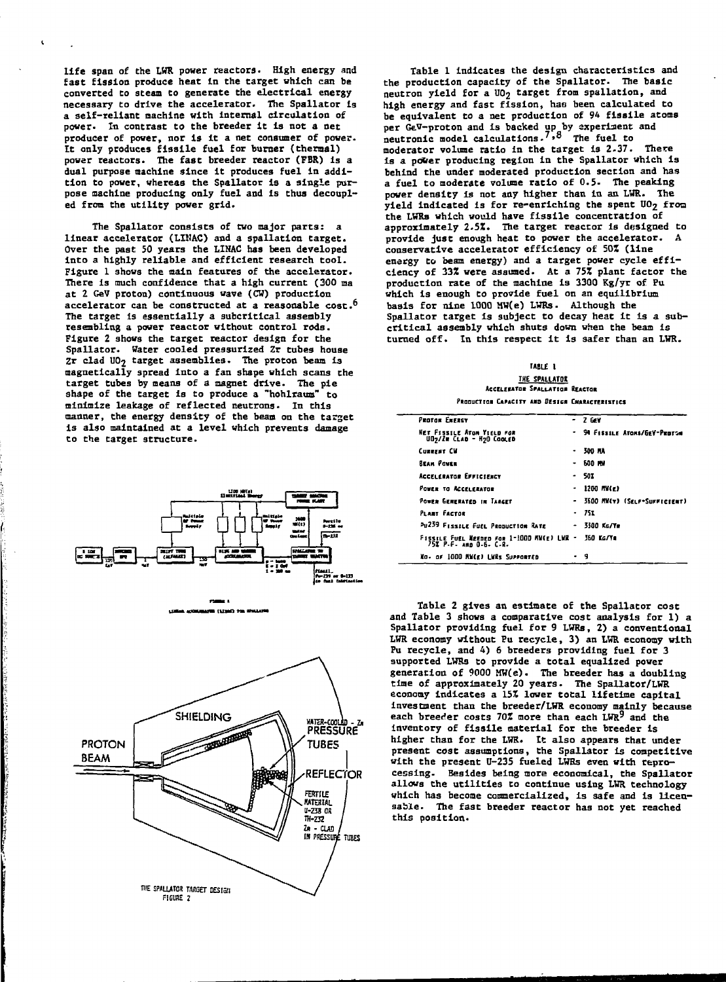**life span of the LWR power reactors. High energy and fast fission produce heat in the target which can be converted to steam to generate the electrical energy necessary to drive the accelerator. The Spallator is a self-reliant machine with internal circulation of power. In contrast to the breeder it is not a net producer of power, nor is it a net consumer of power. It only produces fissile fuel for burner (thermal) power reactors. The fast breeder reactor (FBR) is a dual purpose machine since it produces fuel in addition to power, whereas the Spallator is a single purpose machine producing only fuel and is thus decoupled from the utility power grid.**

**The Spallator consists of two major parts: a linear accelerator (LIIJAC) and a spallation target. Over the past 50 years the LINAC has been developed into a highly reliable and efficient research tool. Figure 1 shows the main features of the accelerator. There is much confidence that a high current (300 ma at 2 GeV proton) continuous wave (CW) production accelerator can be constructed at a reasonable cost.<sup>6</sup> The target is essentially a subcritical assembly resembling a power reactor without control rods. Figure 2 shows the target reactor design for the Spallator. Hater cooled pressurized Zr tubes house** Zr clad UO<sub>2</sub> target assemblies. The proton beam is **magnetically spread into a fan shape which scans the target tubes by means of a magnet drive. The pie shape of the target is to produce a "hohlraum" to minimize leakage of reflected neutrons\* In this manner, the energy density of the beam on the target is also maintained at a level which prevents damage to the target structure.**







**Table 1 Indicates the design characteristics and the production capacity of the Spallator. The basic neutron yield for a UO2 target from spallation, and high energy and fast fission, hao been calculated to be equivalent to a net production of 94 fissile atoms per GeV-proton and is backed up by experiment and neutronic model calculations.<sup>7</sup>' <sup>8</sup> The fuel to moderator volume ratio in the target is 2.37. There is a power producing region in the Spallator which is behind the under moderated production section and has a fuel to moderate volume ratio of 0.5- The peaking power density is not any higher than in an LWR. The yield indicated is for re-enriching the spent UO2 from the LWRs which would have fissile concentration of approximately 2.5Z. The target reactor is designed to provide just enough heat to power the accelerator. A conservative accelerator efficiency of 50Z (line energy to beam energy) and a target power cycle efficiency of 33X were assumed. At a 75Z plant factor the production rate of the machine is 3300 Kg/yr of Pu which is enough to provide fuel on an equilibrium basis for nine 1000 HW(e) LWRs- Although the Spallator target is subject to decay heat it is a subcritical assembly which shuts down when the beam is turned off. In this respect it is safer than an LWR.**

#### **TABLE I THE SPALLATOR ACCELERATOR SpALLATIaN REACTOR PRODUCTION CAPACITY AND DESIGN CHARACTERISTICS**

| Pratan Exercy                                                                  | - 2 GeV                        |
|--------------------------------------------------------------------------------|--------------------------------|
| NET FISSILE ATOM YIFLD FOR<br>UO7/Zm CLAD - H7O COOLED                         | - 94 FISSILE ATOMS/GEV-Proton  |
| Cussear CM                                                                     | 300 F.A                        |
| <b>BEAM POWER</b>                                                              | - 600 MW                       |
| <b>ACCELERATOR EFFICIENCY</b>                                                  | - 507                          |
| <b>POWER TO ACCELERATOR</b>                                                    | - 1200 MKr)                    |
| Power Generates in Iarcet                                                      | - 3600 MW(y) (Self-Surficient) |
| PLANT FACTOR                                                                   | - 751                          |
| Pu239 FISSILE FUEL PRODUCTION RATE                                             | 3300 Kc/Ye                     |
| Fissile Fuel Needed for 1-1000 MW(e) LWR - 360 KG/Ym<br>75% Р.Е. для О.Б. С.В. |                                |
| No. of 1000 MW(e) LWRs Supported                                               | - 9                            |

**Table 2 gives an estimate of the Spallator cost and Table 3 shows a comparative cost analysis for 1) a Spallator providing fuel for 9 LWRs, 2) a conventional LWR economy without Pu recycle, 3) an LWR economy with Pu recycle, and 4) 6 breeders providing fuel for 3 supported LWSs to provide a total equalized power generation of 9000 MW(e). The breeder has a doubling time of approximately 20 years. The Spallator/LWR economy indicates a 15% lower total lifetime capital investment than the breeder/LWR economy mainly because each breeder costs 70Z more than each LWR<sup>9</sup> and the inventory of fissile material for the breeder is higher than for the LWR. It also appears that under present cost assumptions, the Spallator is competitive with the present U-235 fueled LWRs even with reprocessing. Besides being more economical, the Spallator allows the utilities to continue using LWR technology** which has become commercialized, is safe and is licen**aable. The fast breeder reactor has not yet reached this position.**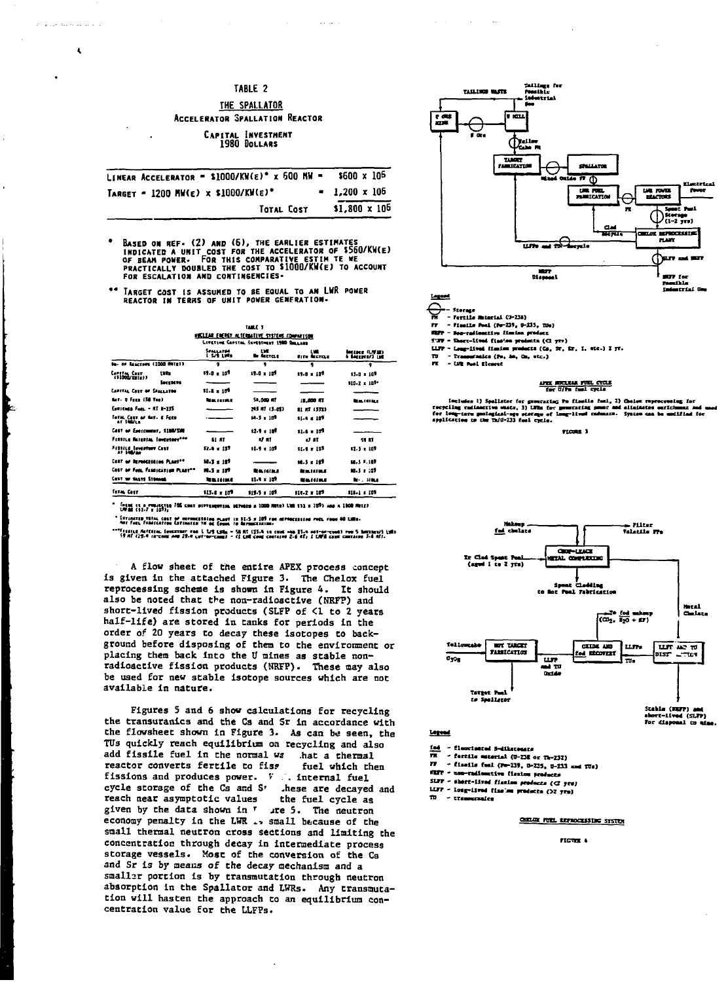## TABLE 2

المناسب

THE SPALLATOR **ACCELERATOR SPALLATION REACTOR** 

> CAPITAL INVESTMENT 1980 DOLLARS

| LINEAR ACCELERATOR = \$1000/KW(E)* x 500 MW = | \$600 x 106          |
|-----------------------------------------------|----------------------|
| TARGET = 1200 MW(E) x \$1000/KW(E)*           | $-1,200 \times 105$  |
| TOTAL COST                                    | $$1.800 \times 10^5$ |

- **BASED ON REF. (2) AND (6), THE EARLIER ESTIMATES<br>INDICATED A UNIT COST FOR THE ACCELERATOR OF \$560/KW(E)<br>OF BEAN POWER. FOR THIS COMPARATIVE ESTIM TE WE<br>PRACTICALLY DOUBLED THE COST TO \$1000/KW(E) TO ACCOUNT<br>FOR ESCALATIO**
- \*\* IARGET COST IS ASSUMED TO BE EQUAL TO AN LWR POWER<br>REACTOR IN TERMS OF UNIT POWER GENERATION.

| <b>HIGHLAR ENERGY ALTERNATIVE SYSTEMS COMPARISON</b><br>LIFETIME CAPITAL INVESTMENT 1980 SMILLER |                              |                        |                        |                                         |  |  |  |  |  |
|--------------------------------------------------------------------------------------------------|------------------------------|------------------------|------------------------|-----------------------------------------|--|--|--|--|--|
|                                                                                                  | <b>SPALLATOR</b><br>I SA LWN | w<br><b>In Acress</b>  | L MA<br>Fire factors   | <b>Mether (LWB)</b><br>6 Letter175 List |  |  |  |  |  |
| Do- of Exactors (1000 MH(e))                                                                     | 9                            | ,                      |                        | ۹                                       |  |  |  |  |  |
| Carlles, Cust<br>1,182<br>(Simplymias)                                                           | <b>19.0 ± 10<sup>9</sup></b> | 17-9 x 107             | 19.0 x 10 <sup>9</sup> | 13-0 = 107                              |  |  |  |  |  |
| <b>Locations</b>                                                                                 |                              |                        |                        | $110 - 2 = 10^{9}$                      |  |  |  |  |  |
| LAFITAL COST OF SFALLATOD                                                                        | 11.2 x 10 <sup>9</sup>       |                        |                        |                                         |  |  |  |  |  |
| Nat- U Fran (30 York)                                                                            | <b>Married</b>               | 54,000 MT              | <b>IS .000 NT</b>      | <b>BLACK ISSUE</b>                      |  |  |  |  |  |
| Execute Fues. - NT 8-235                                                                         |                              | 243 MT (1.01)          | <b>01 AT (33X)</b>     |                                         |  |  |  |  |  |
| TOTAL COST OF MIT- & FECO<br>AT SHIFLE                                                           |                              | <b>M-3 z 109</b>       | 11.4 x 127             |                                         |  |  |  |  |  |
| COST of Energyment, 1180/500                                                                     |                              | 12.5 ± 117             | \$1.6 x 107            |                                         |  |  |  |  |  |
| France Raventa, Investory <sup>000</sup>                                                         | 61 AT                        | st at                  | O AT                   | 9 U                                     |  |  |  |  |  |
| France Investment Case<br><b>AT 200 AU</b>                                                       | $14.4 \pm 15$                | 11-9 s 10 <sup>9</sup> | 11.4 x 169             | 12-3 x 107                              |  |  |  |  |  |
| Cost or Involutions Puest"                                                                       | <b>M.I.I (1)</b>             |                        | 18.3 x 189             | SE.3 F.189                              |  |  |  |  |  |
| COST OF FUEL FAMILIZED IN PLAST"                                                                 | M.S. 107                     | <b>RAIGEA</b>          | <b>BALLINE</b>         | <b>M-3 s 107</b>                        |  |  |  |  |  |
| Cont or MASTE STORMAL                                                                            | ta ma                        | 11.4 x 197             | ita iliyu              | <b>Mr. STAN</b>                         |  |  |  |  |  |
| Term Cost                                                                                        | 113-2 x 107                  | 119-5 x 109            | ste.2 x 107            | 111.1 × 194                             |  |  |  |  |  |

Enged to a PURINCTES 700 cont surveagery as adventure a 1000 MHz) LUR 132 x 1093 and a 1800 MHz)

.<br>Australius tatal, cant of nurmaculation ollert in 17.5 x 189 ron adfoncession form founded LMA.<br>Must foul, familiation Extination to de Equal to Aproxitation.

.<br>"Fissing Matteras (eventuar von 1 1/5 Lidw = 50 RT 133-4 in come map 25-4 mot-mo-come) von 5 Natthews Lidw.<br>- 59 RT 129-4 re-come map 29-4 cult-mo-came) - 12 Lidw.come containe 2-6 RT; 2 LidW came cultains 3-4 RTs.

A flow sheet of the entire APEX process concept is given in the attached Figure 3. The Chelox fuel reprocessing scheme is shown in Figure 4. It should also be noted that the non-radioactive (NRFP) and short-lived fission products (SLFP of <1 to 2 years half-life) are stored in tanks for periods in the order of 20 years to decay these isotopes to background before disposing of them to the environment or placing them back into the U mines as stable nonradioactive fission products (NRFP). These may also be used for new stable isotope sources which are not available in nature.

Figures 5 and 6 show calculations for recycling the transuranics and the Cs and Sr in accordance with the flowsheet shown in Figure 3. As can be seen, the TUs quickly reach equilibrium on recycling and also add fissile fuel in the normal wa hat a thermal reactor converts fertile to fiss fuel which then fissions and produces power. V . . internal fuel cycle storage of the Cs and S' hese are decayed and reach near asymptotic values the fuel cycle as given by the data shown in " are 5. The neutron economy penalty in the LWR ... small because of the small thermal neutron cross sections and limiting the concentration through decay in intermediate process storage vessels. Most of the conversion of the Cs and Sr is by means of the decay mechanism and a smaller portion is by transmutation through neutron absorption in the Spallator and LWRs. Any transmutation will hasten the approach to an equilibrium concentration value for the LLFPs.



€ - Storace

- Ferrile Material (9-238)

- ry Pissile Poel (Pe-239, 9-235, TDs) - Nea-radiometivu fimina product mm
- ÷÷
- Short-Lived fisches products  $(C2 \text{ yrr})$ <br>- Short-Lived fisches products  $(C2 \text{ yrr})$ <br>- Long-Lived fisminu products  $(Ca_0, 5r, 5r, 1,$  etc.) 2 yr. ....

---<br>TV - Transmittaics (Ps)<br>FX - Lift Post Element urnalco (Po, An, Ca, etc.)

## $\frac{1775}{1000} \frac{\text{FPE} \times 177}{\text{FPE} \times 100} \frac{\text{FPE} \times 1775}{\text{FPE} \times 100}$

Includes 1) Seellater for generating Pm finalle fuel, 2) Cheim representing for<br>recycling radioactive enets, 3) Lifts for generating passr and eliminates enticlument and<br>for long-term geningical-see storage of long-lived c

Frome<sub>3</sub>



#### Legend

fod - fluorisated S-dikarasate

- ≂  $-$  fertile esterial (U-Z38 or Ta-232)
- $\overline{r}$ finalle feat (P=239, 0-235, 0-233 and 770)
- **FEFF** una-radiometive firston products
- SLFF short-lived fission products (CI yrs) LLFF - long-lived finales products (32 yrs)

 $-$  tras m menafes.

#### CHECK FUEL EFFECTISING SYSTEM

#### FIGHT 4

 $\epsilon$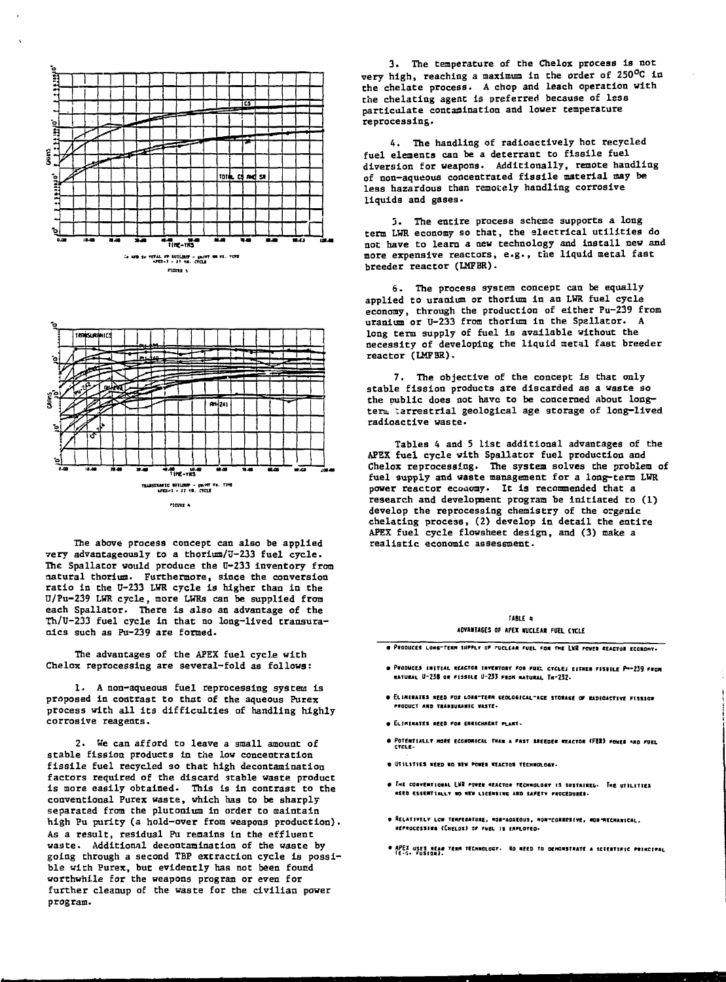

**The above process concept can also be applied very advantageously to a thorium/U-233 fuel cycle. The Spallator would produce the 0-233 inventory from natural thorium. Furthermore, since the conversion ratio In the U-233 LWR cycle is higher than in the U/Pu-239 LWR cycle, more LWRs can be supplied from each Spallator. There is also an advantage of the Th/U-233 fuel cycle in that no long-lived transuranics such as Pu-239 are formed.**

**The advantages of the APEX fuel cycle with Chelox reprocessing are several-fold as follows:**

**1. A non-aqueous fuel reprocessing system is proposed in contrast to that of Che aqueous Purex process with all its difficulties of handling highly corrosive reagents.**

**2. He can afford to leave a small amount of stable fission products in the low concentration fissil e fuel recycled so that high decontamination factors required of the discard 3table waste product is more easily obtained. This is in contrast to the conventional Purex waste, which has to be sharply separated from the plutonium in order to maintain high Pu purity (a hold-over from weapons production). As a result, residual Fu remains in the effluent waste. Additional decontamination of the waste by going through a second TBP extraction cycle is possible with Purex, but evidently has not been found worthwhile for the weapons program or even for further cleanup of Che waste for Che civilian power program.**

**3. The temperature of the Chelox process is not very high, reaching a maximum in the order of 250°C in the chelate process. A chop and leach operation with the chelating agent is preferred because of less particulate contaaination and lower temperature reprocessing.**

**4. The handling of radioactively hot recycled** fuel elements can be a deterrant to fissile fuel **diversion for weapons. Additionally, remote handling** of non-aqueous concentrated fissile material may be **less hazardous than remocely handling corrosive liquids and gases\***

**3. The entire process schema supports a long term LWR economy so that, the electrical utilitie s do not have to learn a new technology and install new and more expensive reactors, e.g., the liquid metal fast breeder reactor (LMFBR).**

**6. The process system concept can be equally applied to uranium or thorium in an LWR fuel cycle economy, through the production of either Pu-239 from uranium or U-233 from thorium in the Spallator. A long term supply of fuel is available without the necessity of developing the liquid metal fast breeder reactor (LMFBR).**

**7. The objective of the concept is that only stable fission products are discarded as a waste so the public does not have to be concerned about longterm tarreatrial geological age storage of long-lived radioactive waste.**

**Tables 4 and 5 list additional advantages of the APEX fuel cycle with Spallator fuel production and Chelox reprocessing. The system solves the problem of fuel supply and waste management for a long-term LWR power reactor economy. It is recommended that a research and development program be initiated to (1) develop the reprocessing chemistry of the organic chelating process, (2) develop in detail the entire APEX fuel cycle flowsheet design, and (3) make a realistic economic assessment.**

#### **mm** *i* **10VMTAGES OF tPEX WCU M FUEL CTCIE**

**• PRODUCES LONG-TERM SUPPLY OF FUCLEAR FUEL FOR THE LWR POWER REACTOR ECONOMY.** 

- **PRODUCES IMTIA L REACTS! tivEHToir FO« fatu CTCIE; EITHEI FISSILE P"-239 F\*DH RATUIAI U-238 o« FISSILE (1-233 FISH UTUUU . TH'Z32>**
- **9 CLIMINATES NEED FOE LONG-TERM GEOLQGICAL-AGE STORAGE OF UADICACTIVE FISSION PRODUCT AND TRANSURANIC WASTE-**
- **ELMMATES KEED \*a\* CMRICKMEMT rum-**
- **POTENTIALLY NORE ECOKOMICAL THAN A FAST BREEDEB REACTOR (FBR) POWER AND FUEL<br>CTCLE-**
- **UTILITIES NEED HO NEW t\*O\*Et KEACTOt TECHHOLaCT-**
- **THE CONVENTIONAL LUR FOWER REACTOR TECHNOLOGY IS SUSTAIREL- THE UTILITIES**<br>«EED ESSENTIALLY NO MEW LICENSING AND SAFETY FROCEDURES-
- **RELATIVELY LOW TEMPERATURE, "ON-AOUEOUS, "ON-COMMOSIVE, "QN'MECHANICAL, REPROCESS I• • (CHELQI) OP 'OIL IS EflfLOVED\***
- **APEX USES HEAR TERM TECHNOLOGT. HO HEED TO DEMONSTRATE A SCIENTIFIC MAINCIPAL**<br>(E-G- Fusion).